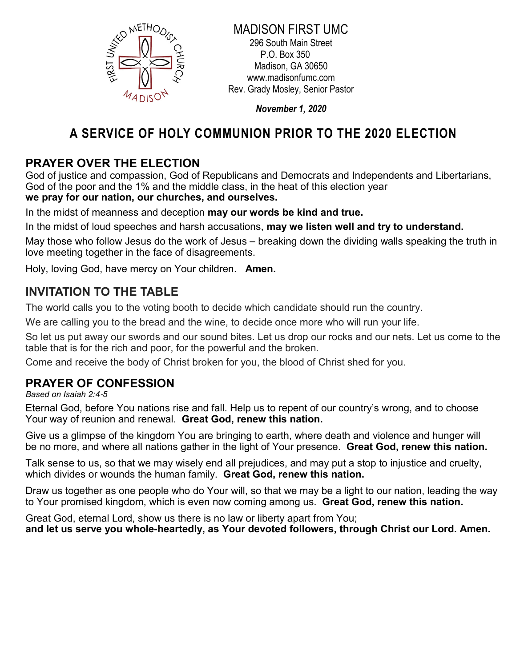

#### MADISON FIRST UMC 296 South Main Street P.O. Box 350 Madison, GA 30650 www.madisonfumc.com Rev. Grady Mosley, Senior Pastor

November 1, 2020

# A SERVICE OF HOLY COMMUNION PRIOR TO THE 2020 ELECTION

### PRAYER OVER THE ELECTION

God of justice and compassion, God of Republicans and Democrats and Independents and Libertarians, God of the poor and the 1% and the middle class, in the heat of this election year we pray for our nation, our churches, and ourselves.

In the midst of meanness and deception may our words be kind and true.

In the midst of loud speeches and harsh accusations, may we listen well and try to understand.

May those who follow Jesus do the work of Jesus – breaking down the dividing walls speaking the truth in love meeting together in the face of disagreements.

Holy, loving God, have mercy on Your children. **Amen.** 

### INVITATION TO THE TABLE

The world calls you to the voting booth to decide which candidate should run the country.

We are calling you to the bread and the wine, to decide once more who will run your life.

So let us put away our swords and our sound bites. Let us drop our rocks and our nets. Let us come to the table that is for the rich and poor, for the powerful and the broken.

Come and receive the body of Christ broken for you, the blood of Christ shed for you.

## PRAYER OF CONFESSION

Based on Isaiah 2:4-5

Eternal God, before You nations rise and fall. Help us to repent of our country's wrong, and to choose Your way of reunion and renewal. Great God, renew this nation.

Give us a glimpse of the kingdom You are bringing to earth, where death and violence and hunger will be no more, and where all nations gather in the light of Your presence. Great God, renew this nation.

Talk sense to us, so that we may wisely end all prejudices, and may put a stop to injustice and cruelty, which divides or wounds the human family. Great God, renew this nation.

Draw us together as one people who do Your will, so that we may be a light to our nation, leading the way to Your promised kingdom, which is even now coming among us. Great God, renew this nation.

Great God, eternal Lord, show us there is no law or liberty apart from You; and let us serve you whole**-**heartedly, as Your devoted followers, through Christ our Lord. Amen.